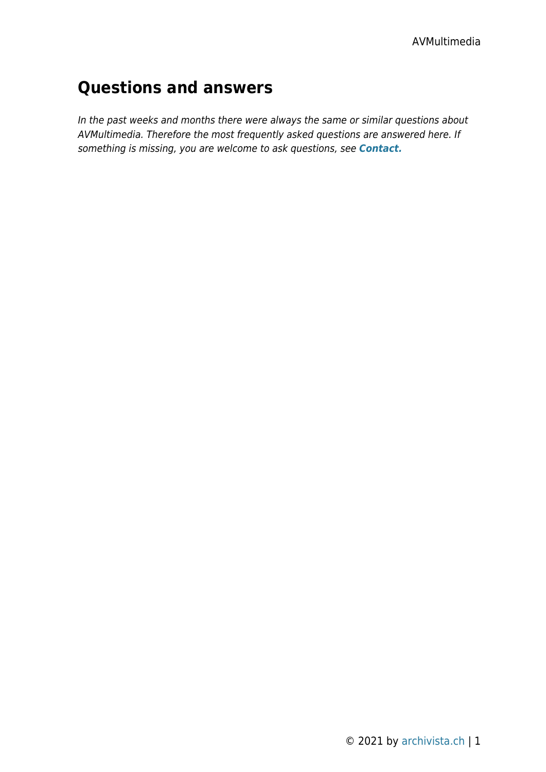# **Questions and answers**

In the past weeks and months there were always the same or similar questions about AVMultimedia. Therefore the most frequently asked questions are answered here. If something is missing, you are welcome to ask questions, see *[Contact.](https://archivista.ch/cms/en/about-us/contact/)*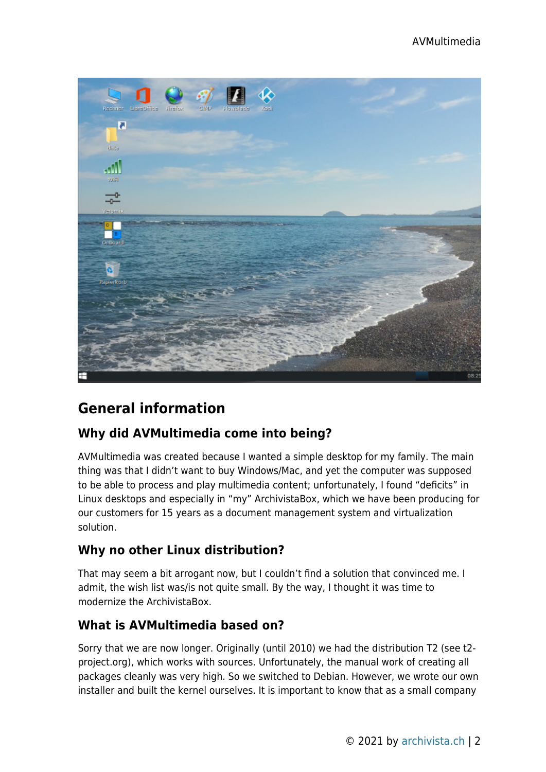

## **General information**

## **Why did AVMultimedia come into being?**

AVMultimedia was created because I wanted a simple desktop for my family. The main thing was that I didn't want to buy Windows/Mac, and yet the computer was supposed to be able to process and play multimedia content; unfortunately, I found "deficits" in Linux desktops and especially in "my" ArchivistaBox, which we have been producing for our customers for 15 years as a document management system and virtualization solution.

## **Why no other Linux distribution?**

That may seem a bit arrogant now, but I couldn't find a solution that convinced me. I admit, the wish list was/is not quite small. By the way, I thought it was time to modernize the ArchivistaBox.

## **What is AVMultimedia based on?**

Sorry that we are now longer. Originally (until 2010) we had the distribution T2 (see t2 project.org), which works with sources. Unfortunately, the manual work of creating all packages cleanly was very high. So we switched to Debian. However, we wrote our own installer and built the kernel ourselves. It is important to know that as a small company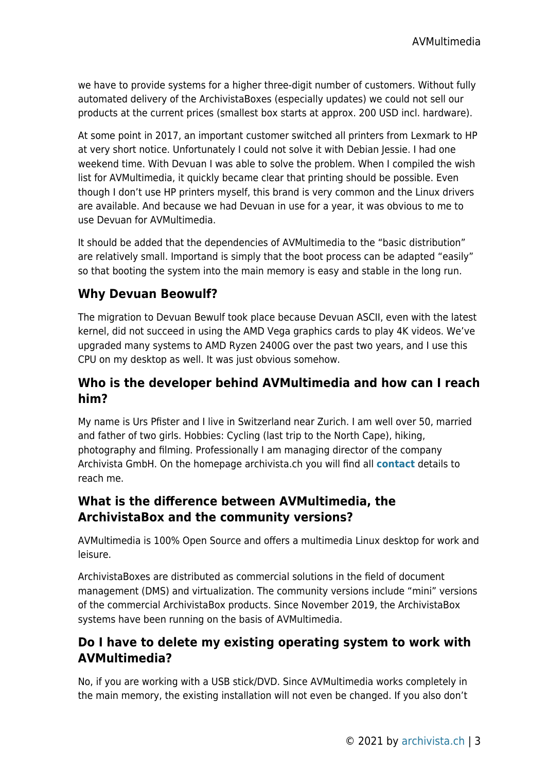we have to provide systems for a higher three-digit number of customers. Without fully automated delivery of the ArchivistaBoxes (especially updates) we could not sell our products at the current prices (smallest box starts at approx. 200 USD incl. hardware).

At some point in 2017, an important customer switched all printers from Lexmark to HP at very short notice. Unfortunately I could not solve it with Debian Jessie. I had one weekend time. With Devuan I was able to solve the problem. When I compiled the wish list for AVMultimedia, it quickly became clear that printing should be possible. Even though I don't use HP printers myself, this brand is very common and the Linux drivers are available. And because we had Devuan in use for a year, it was obvious to me to use Devuan for AVMultimedia.

It should be added that the dependencies of AVMultimedia to the "basic distribution" are relatively small. Importand is simply that the boot process can be adapted "easily" so that booting the system into the main memory is easy and stable in the long run.

## **Why Devuan Beowulf?**

The migration to Devuan Bewulf took place because Devuan ASCII, even with the latest kernel, did not succeed in using the AMD Vega graphics cards to play 4K videos. We've upgraded many systems to AMD Ryzen 2400G over the past two years, and I use this CPU on my desktop as well. It was just obvious somehow.

## **Who is the developer behind AVMultimedia and how can I reach him?**

My name is Urs Pfister and I live in Switzerland near Zurich. I am well over 50, married and father of two girls. Hobbies: Cycling (last trip to the North Cape), hiking, photography and filming. Professionally I am managing director of the company Archivista GmbH. On the homepage archivista.ch you will find all **[contact](https://archivista.ch/cms/en/about-us/contact/)** details to reach me.

#### **What is the difference between AVMultimedia, the ArchivistaBox and the community versions?**

AVMultimedia is 100% Open Source and offers a multimedia Linux desktop for work and leisure.

ArchivistaBoxes are distributed as commercial solutions in the field of document management (DMS) and virtualization. The community versions include "mini" versions of the commercial ArchivistaBox products. Since November 2019, the ArchivistaBox systems have been running on the basis of AVMultimedia.

## **Do I have to delete my existing operating system to work with AVMultimedia?**

No, if you are working with a USB stick/DVD. Since AVMultimedia works completely in the main memory, the existing installation will not even be changed. If you also don't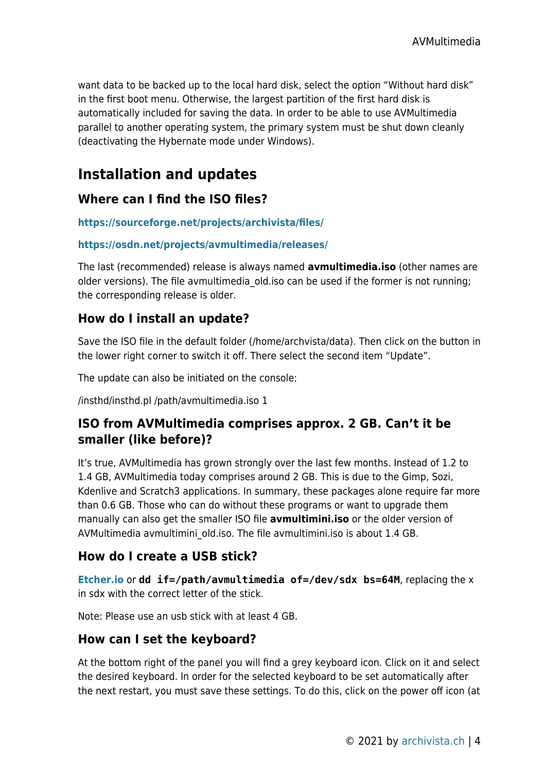want data to be backed up to the local hard disk, select the option "Without hard disk" in the first boot menu. Otherwise, the largest partition of the first hard disk is automatically included for saving the data. In order to be able to use AVMultimedia parallel to another operating system, the primary system must be shut down cleanly (deactivating the Hybernate mode under Windows).

# **Installation and updates**

## **Where can I find the ISO files?**

#### **<https://sourceforge.net/projects/archivista/files/>**

#### **<https://osdn.net/projects/avmultimedia/releases/>**

The last (recommended) release is always named **avmultimedia.iso** (other names are older versions). The file avmultimedia old.iso can be used if the former is not running; the corresponding release is older.

## **How do I install an update?**

Save the ISO file in the default folder (/home/archvista/data). Then click on the button in the lower right corner to switch it off. There select the second item "Update".

The update can also be initiated on the console:

/insthd/insthd.pl /path/avmultimedia.iso 1

## **ISO from AVMultimedia comprises approx. 2 GB. Can't it be smaller (like before)?**

It's true, AVMultimedia has grown strongly over the last few months. Instead of 1.2 to 1.4 GB, AVMultimedia today comprises around 2 GB. This is due to the Gimp, Sozi, Kdenlive and Scratch3 applications. In summary, these packages alone require far more than 0.6 GB. Those who can do without these programs or want to upgrade them manually can also get the smaller ISO file **avmultimini.iso** or the older version of AVMultimedia avmultimini old.iso. The file avmultimini.iso is about 1.4 GB.

## **How do I create a USB stick?**

**[Etcher.io](http://etcher.io)** or **dd if=/path/avmultimedia of=/dev/sdx bs=64M**, replacing the x in sdx with the correct letter of the stick.

Note: Please use an usb stick with at least 4 GB.

#### **How can I set the keyboard?**

At the bottom right of the panel you will find a grey keyboard icon. Click on it and select the desired keyboard. In order for the selected keyboard to be set automatically after the next restart, you must save these settings. To do this, click on the power off icon (at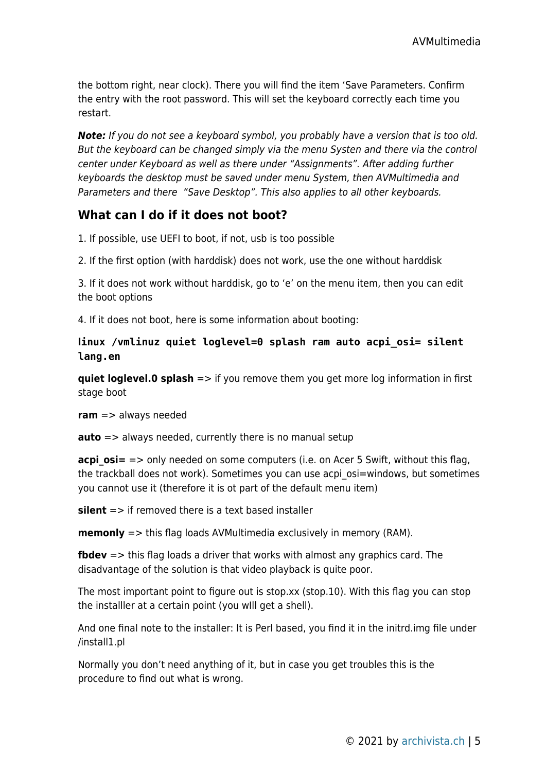the bottom right, near clock). There you will find the item 'Save Parameters. Confirm the entry with the root password. This will set the keyboard correctly each time you restart.

*Note:* If you do not see a keyboard symbol, you probably have a version that is too old. But the keyboard can be changed simply via the menu Systen and there via the control center under Keyboard as well as there under "Assignments". After adding further keyboards the desktop must be saved under menu System, then AVMultimedia and Parameters and there "Save Desktop". This also applies to all other keyboards.

## **What can I do if it does not boot?**

1. If possible, use UEFI to boot, if not, usb is too possible

2. If the first option (with harddisk) does not work, use the one without harddisk

3. If it does not work without harddisk, go to 'e' on the menu item, then you can edit the boot options

4. If it does not boot, here is some information about booting:

#### **linux /vmlinuz quiet loglevel=0 splash ram auto acpi\_osi= silent lang.en**

**quiet loglevel.0 splash** => if you remove them you get more log information in first stage boot

**ram** => always needed

**auto** => always needed, currently there is no manual setup

**acpi osi=** => only needed on some computers (i.e. on Acer 5 Swift, without this flag, the trackball does not work). Sometimes you can use acpi\_osi=windows, but sometimes you cannot use it (therefore it is ot part of the default menu item)

**silent** => if removed there is a text based installer

**memonly** => this flag loads AVMultimedia exclusively in memory (RAM).

**fbdev** => this flag loads a driver that works with almost any graphics card. The disadvantage of the solution is that video playback is quite poor.

The most important point to figure out is stop.xx (stop.10). With this flag you can stop the installler at a certain point (you wIll get a shell).

And one final note to the installer: It is Perl based, you find it in the initrd.img file under /install1.pl

Normally you don't need anything of it, but in case you get troubles this is the procedure to find out what is wrong.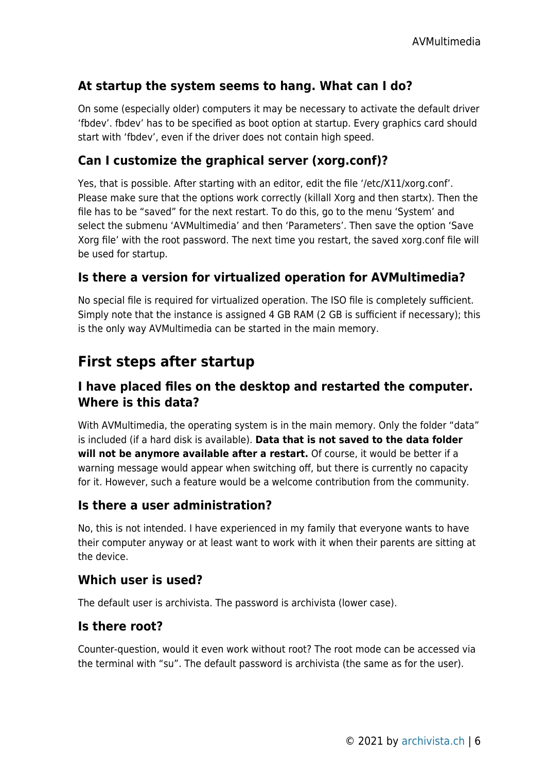## **At startup the system seems to hang. What can I do?**

On some (especially older) computers it may be necessary to activate the default driver 'fbdev'. fbdev' has to be specified as boot option at startup. Every graphics card should start with 'fbdev', even if the driver does not contain high speed.

### **Can I customize the graphical server (xorg.conf)?**

Yes, that is possible. After starting with an editor, edit the file '/etc/X11/xorg.conf'. Please make sure that the options work correctly (killall Xorg and then startx). Then the file has to be "saved" for the next restart. To do this, go to the menu 'System' and select the submenu 'AVMultimedia' and then 'Parameters'. Then save the option 'Save Xorg file' with the root password. The next time you restart, the saved xorg.conf file will be used for startup.

#### **Is there a version for virtualized operation for AVMultimedia?**

No special file is required for virtualized operation. The ISO file is completely sufficient. Simply note that the instance is assigned 4 GB RAM (2 GB is sufficient if necessary); this is the only way AVMultimedia can be started in the main memory.

## **First steps after startup**

## **I have placed files on the desktop and restarted the computer. Where is this data?**

With AVMultimedia, the operating system is in the main memory. Only the folder "data" is included (if a hard disk is available). **Data that is not saved to the data folder will not be anymore available after a restart.** Of course, it would be better if a warning message would appear when switching off, but there is currently no capacity for it. However, such a feature would be a welcome contribution from the community.

#### **Is there a user administration?**

No, this is not intended. I have experienced in my family that everyone wants to have their computer anyway or at least want to work with it when their parents are sitting at the device.

#### **Which user is used?**

The default user is archivista. The password is archivista (lower case).

#### **Is there root?**

Counter-question, would it even work without root? The root mode can be accessed via the terminal with "su". The default password is archivista (the same as for the user).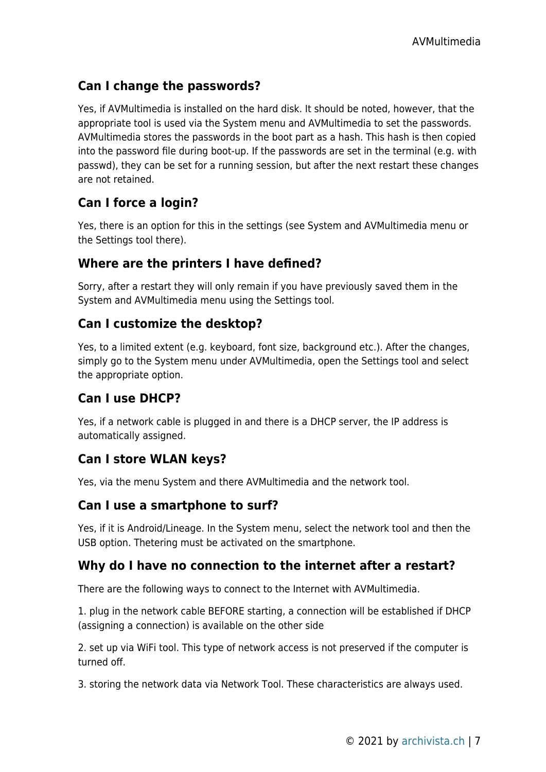## **Can I change the passwords?**

Yes, if AVMultimedia is installed on the hard disk. It should be noted, however, that the appropriate tool is used via the System menu and AVMultimedia to set the passwords. AVMultimedia stores the passwords in the boot part as a hash. This hash is then copied into the password file during boot-up. If the passwords are set in the terminal (e.g. with passwd), they can be set for a running session, but after the next restart these changes are not retained.

## **Can I force a login?**

Yes, there is an option for this in the settings (see System and AVMultimedia menu or the Settings tool there).

## **Where are the printers I have defined?**

Sorry, after a restart they will only remain if you have previously saved them in the System and AVMultimedia menu using the Settings tool.

## **Can I customize the desktop?**

Yes, to a limited extent (e.g. keyboard, font size, background etc.). After the changes, simply go to the System menu under AVMultimedia, open the Settings tool and select the appropriate option.

## **Can I use DHCP?**

Yes, if a network cable is plugged in and there is a DHCP server, the IP address is automatically assigned.

## **Can I store WLAN keys?**

Yes, via the menu System and there AVMultimedia and the network tool.

## **Can I use a smartphone to surf?**

Yes, if it is Android/Lineage. In the System menu, select the network tool and then the USB option. Thetering must be activated on the smartphone.

## **Why do I have no connection to the internet after a restart?**

There are the following ways to connect to the Internet with AVMultimedia.

1. plug in the network cable BEFORE starting, a connection will be established if DHCP (assigning a connection) is available on the other side

2. set up via WiFi tool. This type of network access is not preserved if the computer is turned off.

3. storing the network data via Network Tool. These characteristics are always used.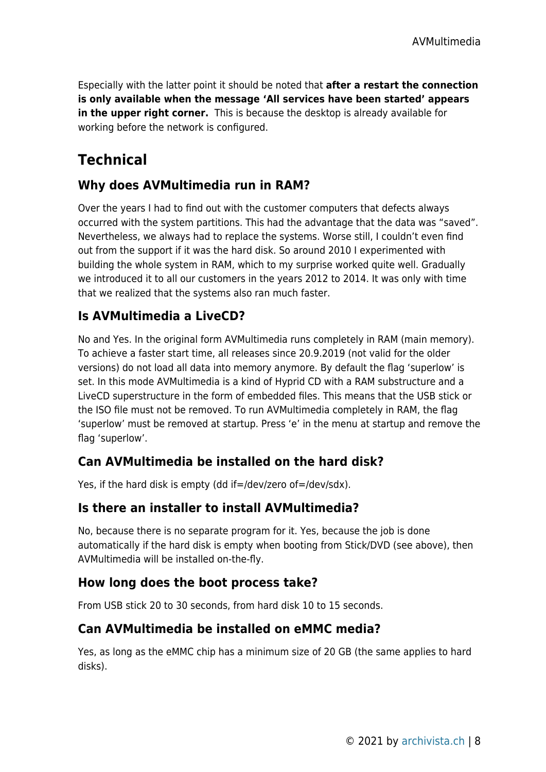Especially with the latter point it should be noted that **after a restart the connection is only available when the message 'All services have been started' appears in the upper right corner.** This is because the desktop is already available for working before the network is configured.

# **Technical**

## **Why does AVMultimedia run in RAM?**

Over the years I had to find out with the customer computers that defects always occurred with the system partitions. This had the advantage that the data was "saved". Nevertheless, we always had to replace the systems. Worse still, I couldn't even find out from the support if it was the hard disk. So around 2010 I experimented with building the whole system in RAM, which to my surprise worked quite well. Gradually we introduced it to all our customers in the years 2012 to 2014. It was only with time that we realized that the systems also ran much faster.

## **Is AVMultimedia a LiveCD?**

No and Yes. In the original form AVMultimedia runs completely in RAM (main memory). To achieve a faster start time, all releases since 20.9.2019 (not valid for the older versions) do not load all data into memory anymore. By default the flag 'superlow' is set. In this mode AVMultimedia is a kind of Hyprid CD with a RAM substructure and a LiveCD superstructure in the form of embedded files. This means that the USB stick or the ISO file must not be removed. To run AVMultimedia completely in RAM, the flag 'superlow' must be removed at startup. Press 'e' in the menu at startup and remove the flag 'superlow'.

## **Can AVMultimedia be installed on the hard disk?**

Yes, if the hard disk is empty (dd if=/dev/zero of=/dev/sdx).

## **Is there an installer to install AVMultimedia?**

No, because there is no separate program for it. Yes, because the job is done automatically if the hard disk is empty when booting from Stick/DVD (see above), then AVMultimedia will be installed on-the-fly.

## **How long does the boot process take?**

From USB stick 20 to 30 seconds, from hard disk 10 to 15 seconds.

## **Can AVMultimedia be installed on eMMC media?**

Yes, as long as the eMMC chip has a minimum size of 20 GB (the same applies to hard disks).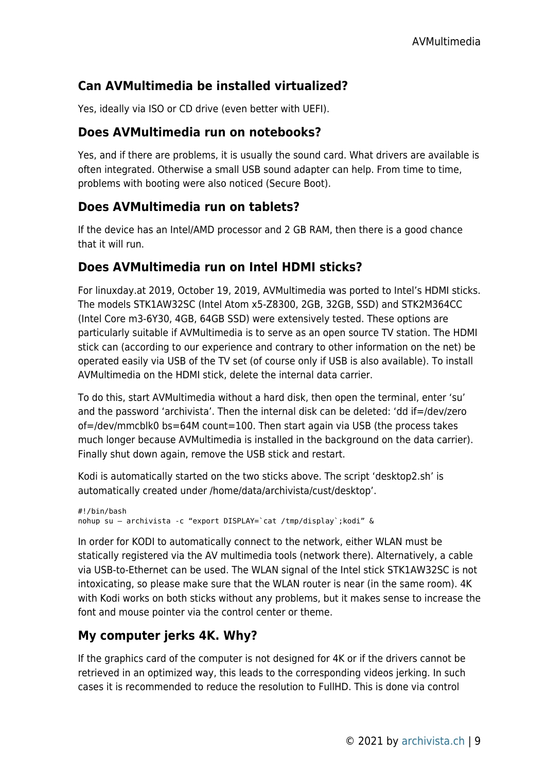## **Can AVMultimedia be installed virtualized?**

Yes, ideally via ISO or CD drive (even better with UEFI).

#### **Does AVMultimedia run on notebooks?**

Yes, and if there are problems, it is usually the sound card. What drivers are available is often integrated. Otherwise a small USB sound adapter can help. From time to time, problems with booting were also noticed (Secure Boot).

#### **Does AVMultimedia run on tablets?**

If the device has an Intel/AMD processor and 2 GB RAM, then there is a good chance that it will run.

#### **Does AVMultimedia run on Intel HDMI sticks?**

For linuxday.at 2019, October 19, 2019, AVMultimedia was ported to Intel's HDMI sticks. The models STK1AW32SC (Intel Atom x5-Z8300, 2GB, 32GB, SSD) and STK2M364CC (Intel Core m3-6Y30, 4GB, 64GB SSD) were extensively tested. These options are particularly suitable if AVMultimedia is to serve as an open source TV station. The HDMI stick can (according to our experience and contrary to other information on the net) be operated easily via USB of the TV set (of course only if USB is also available). To install AVMultimedia on the HDMI stick, delete the internal data carrier.

To do this, start AVMultimedia without a hard disk, then open the terminal, enter 'su' and the password 'archivista'. Then the internal disk can be deleted: 'dd if=/dev/zero of=/dev/mmcblk0 bs=64M count=100. Then start again via USB (the process takes much longer because AVMultimedia is installed in the background on the data carrier). Finally shut down again, remove the USB stick and restart.

Kodi is automatically started on the two sticks above. The script 'desktop2.sh' is automatically created under /home/data/archivista/cust/desktop'.

```
#!/bin/bash
nohup su – archivista -c "export DISPLAY=`cat /tmp/display`;kodi" &
```
In order for KODI to automatically connect to the network, either WLAN must be statically registered via the AV multimedia tools (network there). Alternatively, a cable via USB-to-Ethernet can be used. The WLAN signal of the Intel stick STK1AW32SC is not intoxicating, so please make sure that the WLAN router is near (in the same room). 4K with Kodi works on both sticks without any problems, but it makes sense to increase the font and mouse pointer via the control center or theme.

## **My computer jerks 4K. Why?**

If the graphics card of the computer is not designed for 4K or if the drivers cannot be retrieved in an optimized way, this leads to the corresponding videos jerking. In such cases it is recommended to reduce the resolution to FullHD. This is done via control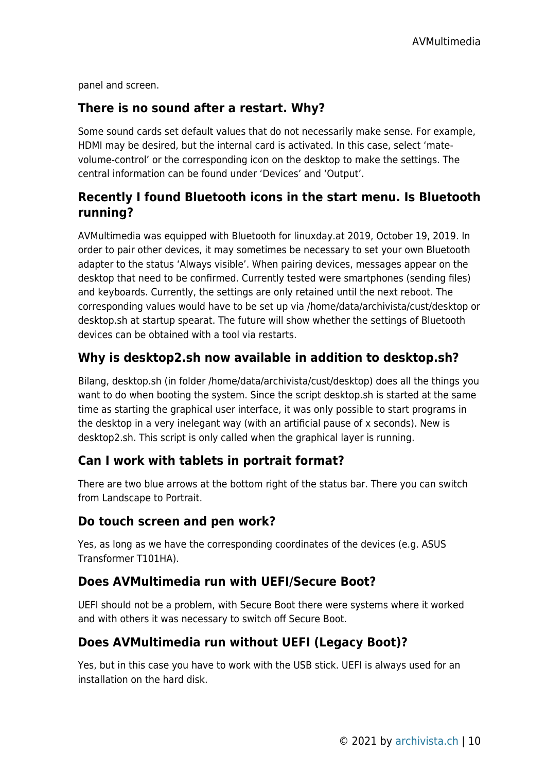panel and screen.

### **There is no sound after a restart. Why?**

Some sound cards set default values that do not necessarily make sense. For example, HDMI may be desired, but the internal card is activated. In this case, select 'matevolume-control' or the corresponding icon on the desktop to make the settings. The central information can be found under 'Devices' and 'Output'.

## **Recently I found Bluetooth icons in the start menu. Is Bluetooth running?**

AVMultimedia was equipped with Bluetooth for linuxday.at 2019, October 19, 2019. In order to pair other devices, it may sometimes be necessary to set your own Bluetooth adapter to the status 'Always visible'. When pairing devices, messages appear on the desktop that need to be confirmed. Currently tested were smartphones (sending files) and keyboards. Currently, the settings are only retained until the next reboot. The corresponding values would have to be set up via /home/data/archivista/cust/desktop or desktop.sh at startup spearat. The future will show whether the settings of Bluetooth devices can be obtained with a tool via restarts.

## **Why is desktop2.sh now available in addition to desktop.sh?**

Bilang, desktop.sh (in folder /home/data/archivista/cust/desktop) does all the things you want to do when booting the system. Since the script desktop.sh is started at the same time as starting the graphical user interface, it was only possible to start programs in the desktop in a very inelegant way (with an artificial pause of x seconds). New is desktop2.sh. This script is only called when the graphical layer is running.

## **Can I work with tablets in portrait format?**

There are two blue arrows at the bottom right of the status bar. There you can switch from Landscape to Portrait.

#### **Do touch screen and pen work?**

Yes, as long as we have the corresponding coordinates of the devices (e.g. ASUS Transformer T101HA).

#### **Does AVMultimedia run with UEFI/Secure Boot?**

UEFI should not be a problem, with Secure Boot there were systems where it worked and with others it was necessary to switch off Secure Boot.

#### **Does AVMultimedia run without UEFI (Legacy Boot)?**

Yes, but in this case you have to work with the USB stick. UEFI is always used for an installation on the hard disk.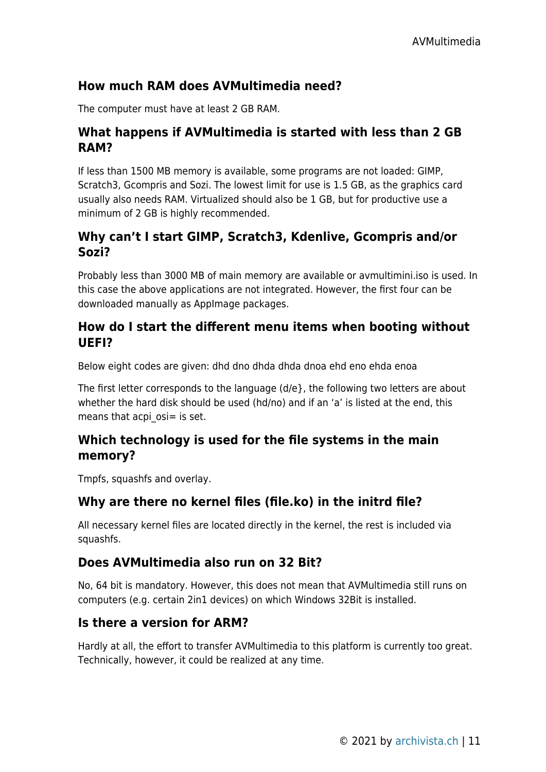## **How much RAM does AVMultimedia need?**

The computer must have at least 2 GB RAM.

## **What happens if AVMultimedia is started with less than 2 GB RAM?**

If less than 1500 MB memory is available, some programs are not loaded: GIMP, Scratch3, Gcompris and Sozi. The lowest limit for use is 1.5 GB, as the graphics card usually also needs RAM. Virtualized should also be 1 GB, but for productive use a minimum of 2 GB is highly recommended.

## **Why can't I start GIMP, Scratch3, Kdenlive, Gcompris and/or Sozi?**

Probably less than 3000 MB of main memory are available or avmultimini.iso is used. In this case the above applications are not integrated. However, the first four can be downloaded manually as AppImage packages.

### **How do I start the different menu items when booting without UEFI?**

Below eight codes are given: dhd dno dhda dhda dnoa ehd eno ehda enoa

The first letter corresponds to the language (d/e}, the following two letters are about whether the hard disk should be used (hd/no) and if an 'a' is listed at the end, this means that acpi  $osi = is set$ .

## **Which technology is used for the file systems in the main memory?**

Tmpfs, squashfs and overlay.

## **Why are there no kernel files (file.ko) in the initrd file?**

All necessary kernel files are located directly in the kernel, the rest is included via squashfs.

## **Does AVMultimedia also run on 32 Bit?**

No, 64 bit is mandatory. However, this does not mean that AVMultimedia still runs on computers (e.g. certain 2in1 devices) on which Windows 32Bit is installed.

## **Is there a version for ARM?**

Hardly at all, the effort to transfer AVMultimedia to this platform is currently too great. Technically, however, it could be realized at any time.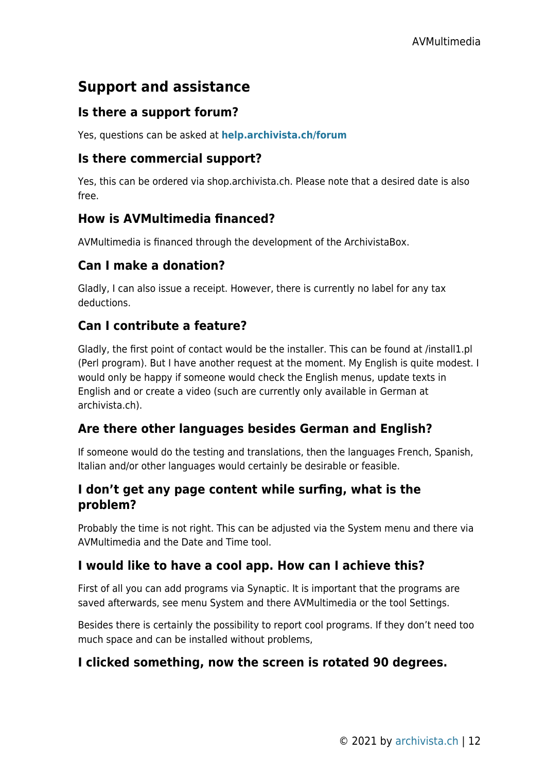## **Support and assistance**

## **Is there a support forum?**

Yes, questions can be asked at **[help.archivista.ch/forum](http://help.archivista.ch/forum)**

#### **Is there commercial support?**

Yes, this can be ordered via shop.archivista.ch. Please note that a desired date is also free.

#### **How is AVMultimedia financed?**

AVMultimedia is financed through the development of the ArchivistaBox.

## **Can I make a donation?**

Gladly, I can also issue a receipt. However, there is currently no label for any tax deductions.

## **Can I contribute a feature?**

Gladly, the first point of contact would be the installer. This can be found at /install1.pl (Perl program). But I have another request at the moment. My English is quite modest. I would only be happy if someone would check the English menus, update texts in English and or create a video (such are currently only available in German at archivista.ch).

## **Are there other languages besides German and English?**

If someone would do the testing and translations, then the languages French, Spanish, Italian and/or other languages would certainly be desirable or feasible.

## **I don't get any page content while surfing, what is the problem?**

Probably the time is not right. This can be adjusted via the System menu and there via AVMultimedia and the Date and Time tool.

## **I would like to have a cool app. How can I achieve this?**

First of all you can add programs via Synaptic. It is important that the programs are saved afterwards, see menu System and there AVMultimedia or the tool Settings.

Besides there is certainly the possibility to report cool programs. If they don't need too much space and can be installed without problems,

## **I clicked something, now the screen is rotated 90 degrees.**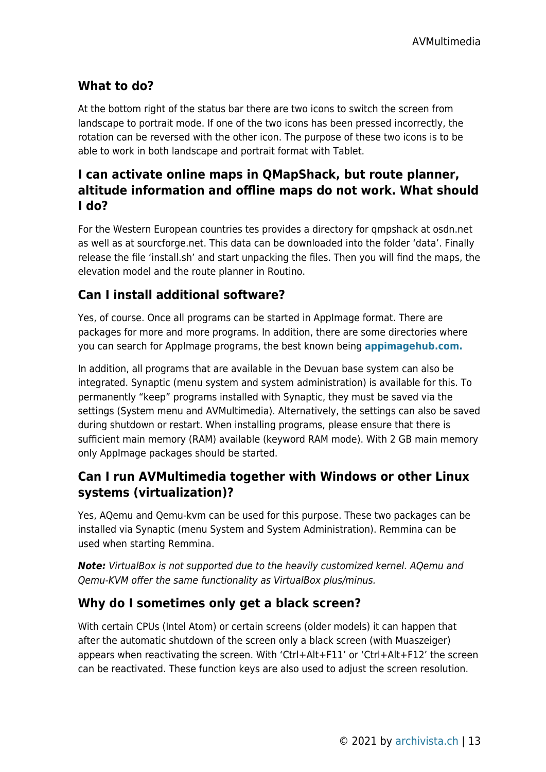## **What to do?**

At the bottom right of the status bar there are two icons to switch the screen from landscape to portrait mode. If one of the two icons has been pressed incorrectly, the rotation can be reversed with the other icon. The purpose of these two icons is to be able to work in both landscape and portrait format with Tablet.

## **I can activate online maps in QMapShack, but route planner, altitude information and offline maps do not work. What should I do?**

For the Western European countries tes provides a directory for qmpshack at osdn.net as well as at sourcforge.net. This data can be downloaded into the folder 'data'. Finally release the file 'install.sh' and start unpacking the files. Then you will find the maps, the elevation model and the route planner in Routino.

## **Can I install additional software?**

Yes, of course. Once all programs can be started in AppImage format. There are packages for more and more programs. In addition, there are some directories where you can search for AppImage programs, the best known being **[appimagehub.com.](http://appimagehub.com)**

In addition, all programs that are available in the Devuan base system can also be integrated. Synaptic (menu system and system administration) is available for this. To permanently "keep" programs installed with Synaptic, they must be saved via the settings (System menu and AVMultimedia). Alternatively, the settings can also be saved during shutdown or restart. When installing programs, please ensure that there is sufficient main memory (RAM) available (keyword RAM mode). With 2 GB main memory only AppImage packages should be started.

## **Can I run AVMultimedia together with Windows or other Linux systems (virtualization)?**

Yes, AQemu and Qemu-kvm can be used for this purpose. These two packages can be installed via Synaptic (menu System and System Administration). Remmina can be used when starting Remmina.

*Note:* VirtualBox is not supported due to the heavily customized kernel. AQemu and Qemu-KVM offer the same functionality as VirtualBox plus/minus.

## **Why do I sometimes only get a black screen?**

With certain CPUs (Intel Atom) or certain screens (older models) it can happen that after the automatic shutdown of the screen only a black screen (with Muaszeiger) appears when reactivating the screen. With 'Ctrl+Alt+F11' or 'Ctrl+Alt+F12' the screen can be reactivated. These function keys are also used to adjust the screen resolution.